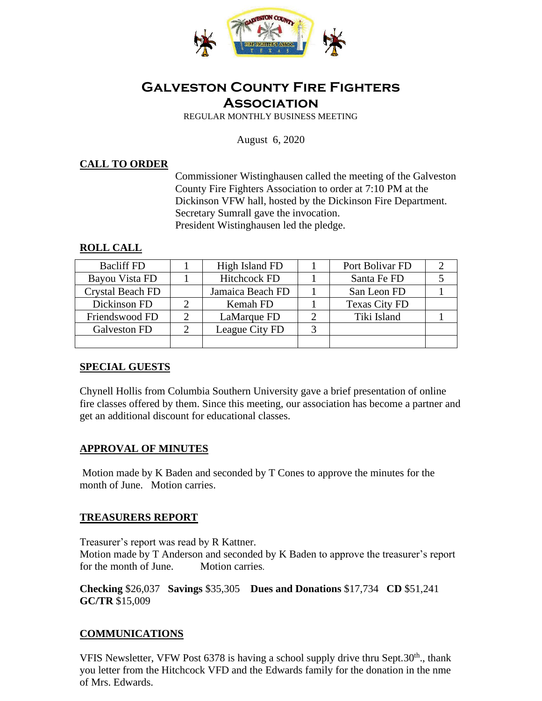

# **Galveston County Fire Fighters Association**

REGULAR MONTHLY BUSINESS MEETING

August 6, 2020

#### **CALL TO ORDER**

Commissioner Wistinghausen called the meeting of the Galveston County Fire Fighters Association to order at 7:10 PM at the Dickinson VFW hall, hosted by the Dickinson Fire Department. Secretary Sumrall gave the invocation. President Wistinghausen led the pledge.

#### **ROLL CALL**

| <b>Bacliff FD</b>       | High Island FD      | Port Bolivar FD      |  |
|-------------------------|---------------------|----------------------|--|
| Bayou Vista FD          | <b>Hitchcock FD</b> | Santa Fe FD          |  |
| <b>Crystal Beach FD</b> | Jamaica Beach FD    | San Leon FD          |  |
| Dickinson FD            | Kemah FD            | <b>Texas City FD</b> |  |
| Friendswood FD          | LaMarque FD         | Tiki Island          |  |
| Galveston FD            | League City FD      |                      |  |
|                         |                     |                      |  |

## **SPECIAL GUESTS**

Chynell Hollis from Columbia Southern University gave a brief presentation of online fire classes offered by them. Since this meeting, our association has become a partner and get an additional discount for educational classes.

#### **APPROVAL OF MINUTES**

Motion made by K Baden and seconded by T Cones to approve the minutes for the month of June. Motion carries.

#### **TREASURERS REPORT**

Treasurer's report was read by R Kattner.

Motion made by T Anderson and seconded by K Baden to approve the treasurer's report for the month of June. Motion carries.

**Checking** \$26,037 **Savings** \$35,305 **Dues and Donations** \$17,734 **CD** \$51,241 **GC/TR** \$15,009

## **COMMUNICATIONS**

VFIS Newsletter, VFW Post  $6378$  is having a school supply drive thru Sept.30<sup>th</sup>., thank you letter from the Hitchcock VFD and the Edwards family for the donation in the nme of Mrs. Edwards.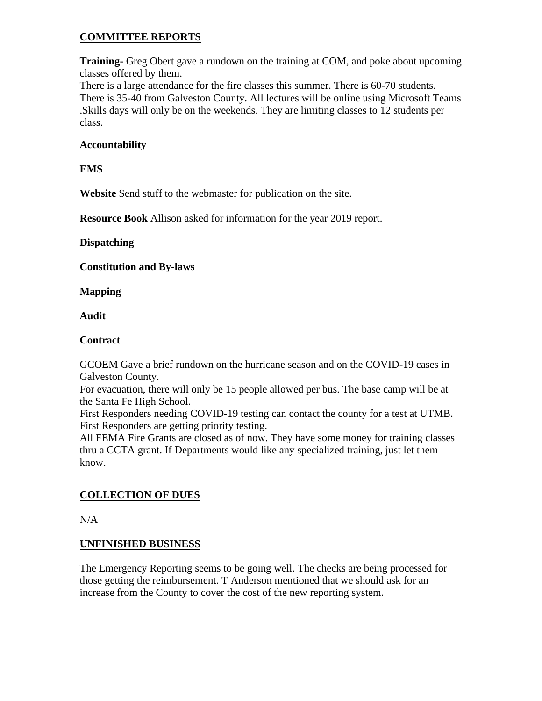# **COMMITTEE REPORTS**

**Training-** Greg Obert gave a rundown on the training at COM, and poke about upcoming classes offered by them.

There is a large attendance for the fire classes this summer. There is 60-70 students. There is 35-40 from Galveston County. All lectures will be online using Microsoft Teams .Skills days will only be on the weekends. They are limiting classes to 12 students per class.

#### **Accountability**

### **EMS**

**Website** Send stuff to the webmaster for publication on the site.

**Resource Book** Allison asked for information for the year 2019 report.

#### **Dispatching**

**Constitution and By-laws** 

**Mapping** 

**Audit** 

#### **Contract**

GCOEM Gave a brief rundown on the hurricane season and on the COVID-19 cases in Galveston County.

For evacuation, there will only be 15 people allowed per bus. The base camp will be at the Santa Fe High School.

First Responders needing COVID-19 testing can contact the county for a test at UTMB. First Responders are getting priority testing.

All FEMA Fire Grants are closed as of now. They have some money for training classes thru a CCTA grant. If Departments would like any specialized training, just let them know.

# **COLLECTION OF DUES**

N/A

## **UNFINISHED BUSINESS**

The Emergency Reporting seems to be going well. The checks are being processed for those getting the reimbursement. T Anderson mentioned that we should ask for an increase from the County to cover the cost of the new reporting system.